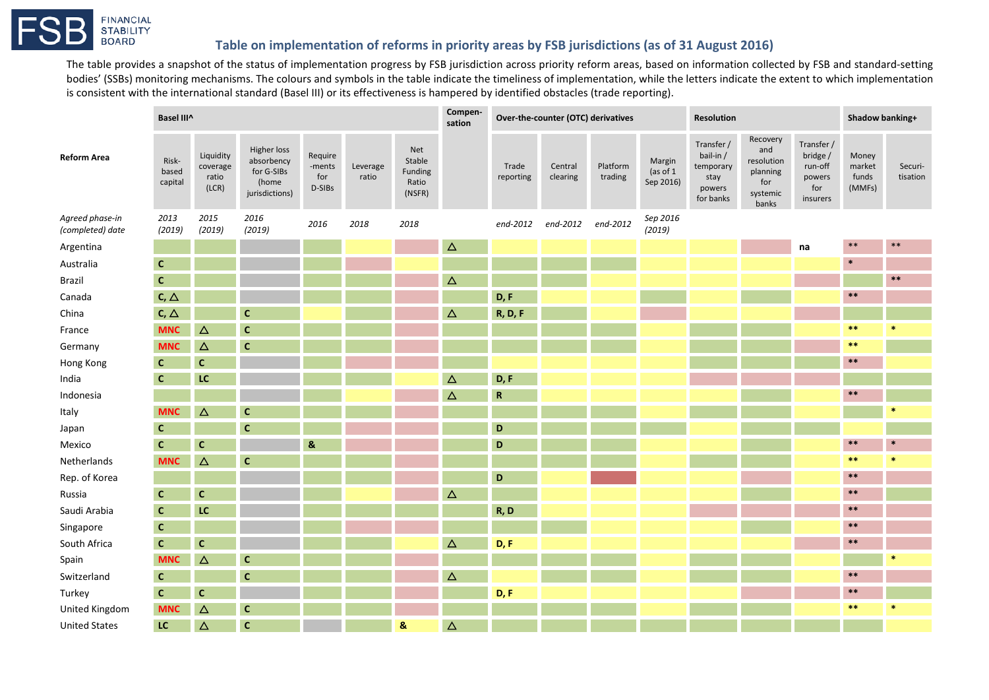## **FINANCIAL STABILITY BOARD**

## **Table on implementation of reforms in priority areas by FSB jurisdictions (as of 31 August 2016)**

The table provides a snapshot of the status of implementation progress by FSB jurisdiction across priority reform areas, based on information collected by FSB and standard-setting bodies' (SSBs) monitoring mechanisms. The colours and symbols in the table indicate the timeliness of implementation, while the letters indicate the extent to which implementation is consistent with the international standard (Basel III) or its effectiveness is hampered by identified obstacles (trade reporting).

|                                     | Basel III^                |                                         |                                                                    |                                    |                   |                                             | Compen-<br>sation | Over-the-counter (OTC) derivatives |                     |                     |                                   | <b>Resolution</b>                                                   |                                                                       |                                                                | Shadow banking+                    |                     |
|-------------------------------------|---------------------------|-----------------------------------------|--------------------------------------------------------------------|------------------------------------|-------------------|---------------------------------------------|-------------------|------------------------------------|---------------------|---------------------|-----------------------------------|---------------------------------------------------------------------|-----------------------------------------------------------------------|----------------------------------------------------------------|------------------------------------|---------------------|
| <b>Reform Area</b>                  | Risk-<br>based<br>capital | Liquidity<br>coverage<br>ratio<br>(LCR) | Higher loss<br>absorbency<br>for G-SIBs<br>(home<br>jurisdictions) | Require<br>-ments<br>for<br>D-SIBs | Leverage<br>ratio | Net<br>Stable<br>Funding<br>Ratio<br>(NSFR) |                   | Trade<br>reporting                 | Central<br>clearing | Platform<br>trading | Margin<br>(as of $1$<br>Sep 2016) | Transfer /<br>bail-in /<br>temporary<br>stay<br>powers<br>for banks | Recovery<br>and<br>resolution<br>planning<br>for<br>systemic<br>banks | Transfer /<br>bridge /<br>run-off<br>powers<br>for<br>insurers | Money<br>market<br>funds<br>(MMFs) | Securi-<br>tisation |
| Agreed phase-in<br>(completed) date | 2013<br>(2019)            | 2015<br>(2019)                          | 2016<br>(2019)                                                     | 2016                               | 2018              | 2018                                        |                   | end-2012                           | end-2012 end-2012   |                     | Sep 2016<br>(2019)                |                                                                     |                                                                       |                                                                |                                    |                     |
| Argentina                           |                           |                                         |                                                                    |                                    |                   |                                             | $\Delta$          |                                    |                     |                     |                                   |                                                                     |                                                                       | na                                                             | $***$                              | $***$               |
| Australia                           | C                         |                                         |                                                                    |                                    |                   |                                             |                   |                                    |                     |                     |                                   |                                                                     |                                                                       |                                                                | $\ast$                             |                     |
| Brazil                              | $\mathbf{C}$              |                                         |                                                                    |                                    |                   |                                             | Δ                 |                                    |                     |                     |                                   |                                                                     |                                                                       |                                                                |                                    | $***$               |
| Canada                              | $C, \triangle$            |                                         |                                                                    |                                    |                   |                                             |                   | D, F                               |                     |                     |                                   |                                                                     |                                                                       |                                                                | $***$                              |                     |
| China                               | $C, \triangle$            |                                         | C                                                                  |                                    |                   |                                             | Δ                 | <b>R, D, F</b>                     |                     |                     |                                   |                                                                     |                                                                       |                                                                |                                    |                     |
| France                              | <b>MNC</b>                | Δ                                       | $\mathbf{C}$                                                       |                                    |                   |                                             |                   |                                    |                     |                     |                                   |                                                                     |                                                                       |                                                                | $\ast\ast$                         | $\ast$              |
| Germany                             | <b>MNC</b>                | $\Delta$                                | $\mathbf c$                                                        |                                    |                   |                                             |                   |                                    |                     |                     |                                   |                                                                     |                                                                       |                                                                | $***$                              |                     |
| Hong Kong                           | $\mathbf{C}$              | $\mathbf c$                             |                                                                    |                                    |                   |                                             |                   |                                    |                     |                     |                                   |                                                                     |                                                                       |                                                                | $\ast\ast$                         |                     |
| India                               | $\mathbf{C}$              | LC                                      |                                                                    |                                    |                   |                                             | $\Delta$          | D, F                               |                     |                     |                                   |                                                                     |                                                                       |                                                                |                                    |                     |
| Indonesia                           |                           |                                         |                                                                    |                                    |                   |                                             | Δ                 | $\mathbf R$                        |                     |                     |                                   |                                                                     |                                                                       |                                                                | $***$                              |                     |
| Italy                               | <b>MNC</b>                | Δ                                       | $\mathbf c$                                                        |                                    |                   |                                             |                   |                                    |                     |                     |                                   |                                                                     |                                                                       |                                                                |                                    | 帯                   |
| Japan                               | $\mathbf{C}$              |                                         | $\mathbf{C}$                                                       |                                    |                   |                                             |                   | D                                  |                     |                     |                                   |                                                                     |                                                                       |                                                                |                                    |                     |
| Mexico                              | <b>C</b>                  | $\mathbf c$                             |                                                                    | &                                  |                   |                                             |                   | D                                  |                     |                     |                                   |                                                                     |                                                                       |                                                                | $\ast\ast$                         | $\ast$              |
| Netherlands                         | <b>MNC</b>                | Δ                                       | $\mathbf c$                                                        |                                    |                   |                                             |                   |                                    |                     |                     |                                   |                                                                     |                                                                       |                                                                | $***$                              | $\ast$              |
| Rep. of Korea                       |                           |                                         |                                                                    |                                    |                   |                                             |                   | D                                  |                     |                     |                                   |                                                                     |                                                                       |                                                                | $***$                              |                     |
| Russia                              | $\mathbf{C}$              | $\mathbf{C}$                            |                                                                    |                                    |                   |                                             | Δ                 |                                    |                     |                     |                                   |                                                                     |                                                                       |                                                                | $\ast\ast$                         |                     |
| Saudi Arabia                        | $\mathbf{C}$              | LC                                      |                                                                    |                                    |                   |                                             |                   | R, D                               |                     |                     |                                   |                                                                     |                                                                       |                                                                | $\boldsymbol{*}$                   |                     |
| Singapore                           | $\mathbf{C}$              |                                         |                                                                    |                                    |                   |                                             |                   |                                    |                     |                     |                                   |                                                                     |                                                                       |                                                                | $\ast\ast$                         |                     |
| South Africa                        | $\mathbf{C}$              | $\mathbf{C}$                            |                                                                    |                                    |                   |                                             | $\Delta$          | D, F                               |                     |                     |                                   |                                                                     |                                                                       |                                                                | $\ast\ast$                         |                     |
| Spain                               | <b>MNC</b>                | Δ                                       | $\mathbf c$                                                        |                                    |                   |                                             |                   |                                    |                     |                     |                                   |                                                                     |                                                                       |                                                                |                                    | $\ast$              |
| Switzerland                         | $\mathbf{C}$              |                                         | $\mathbf{C}$                                                       |                                    |                   |                                             | Δ                 |                                    |                     |                     |                                   |                                                                     |                                                                       |                                                                | $\ast\ast$                         |                     |
| Turkey                              | $\mathbf{C}$              | $\mathbf{C}$                            |                                                                    |                                    |                   |                                             |                   | D, F                               |                     |                     |                                   |                                                                     |                                                                       |                                                                | $\ast\ast$                         |                     |
| United Kingdom                      | <b>MNC</b>                | $\Delta$                                | $\mathbf{C}$                                                       |                                    |                   |                                             |                   |                                    |                     |                     |                                   |                                                                     |                                                                       |                                                                | $***$                              | $\ast$              |
| <b>United States</b>                | LC                        | $\Delta$                                | $\mathsf{C}$                                                       |                                    |                   | 8                                           | $\Delta$          |                                    |                     |                     |                                   |                                                                     |                                                                       |                                                                |                                    |                     |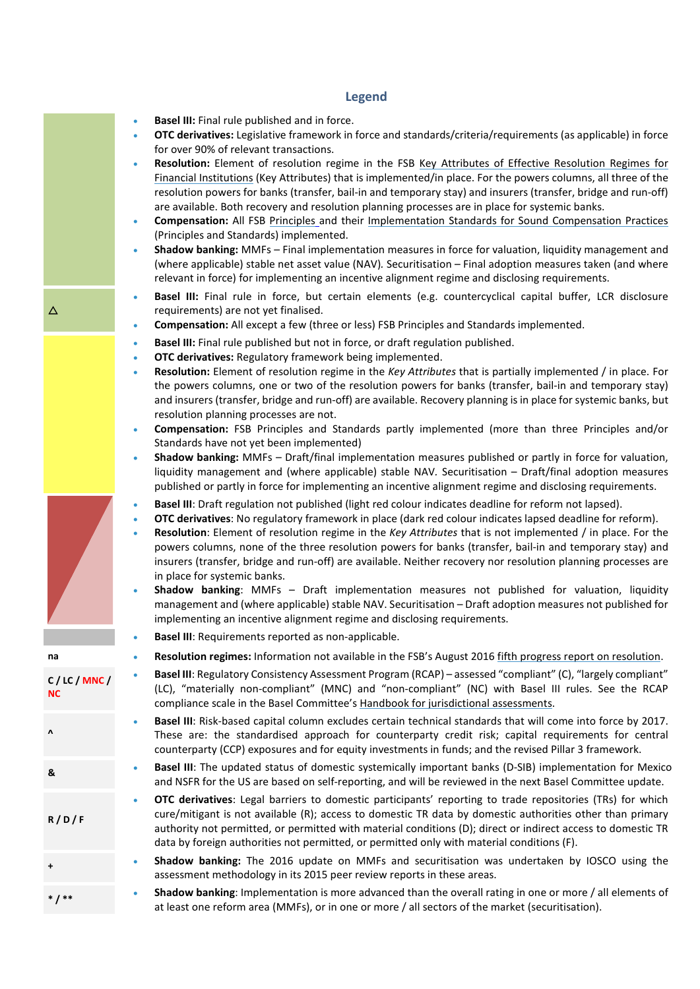## **Legend**

- **Basel III:** Final rule published and in force.
- **OTC derivatives:** Legislative framework in force and standards/criteria/requirements (as applicable) in force for over 90% of relevant transactions.
- **Resolution:** Element of resolution regime in the FSB [Key Attributes of Effective Resolution Regimes for](http://www.fsb.org/2014/10/r_141015/)  [Financial Institutions](http://www.fsb.org/2014/10/r_141015/) (Key Attributes) that is implemented/in place. For the powers columns, all three of the resolution powers for banks (transfer, bail-in and temporary stay) and insurers (transfer, bridge and run-off) are available. Both recovery and resolution planning processes are in place for systemic banks.
- **Compensation:** All FSB [Principles](http://www.fsb.org/2009/04/principles-for-sound-compensation-practices-2/) and their [Implementation Standards for Sound Compensation Practices](http://www.fsb.org/2009/09/principles-for-sound-compensation-practices-implementation-standards/) (Principles and Standards) implemented.
- **Shadow banking:** MMFs Final implementation measures in force for valuation, liquidity management and (where applicable) stable net asset value (NAV)*.* Securitisation – Final adoption measures taken (and where relevant in force) for implementing an incentive alignment regime and disclosing requirements.
- **Basel III:** Final rule in force, but certain elements (e.g. countercyclical capital buffer, LCR disclosure requirements) are not yet finalised.
- **Compensation:** All except a few (three or less) FSB Principles and Standards implemented.
- **Basel III:** Final rule published but not in force, or draft regulation published.
- **OTC derivatives:** Regulatory framework being implemented.
- **Resolution:** Element of resolution regime in the *Key Attributes* that is partially implemented / in place. For the powers columns, one or two of the resolution powers for banks (transfer, bail-in and temporary stay) and insurers (transfer, bridge and run-off) are available. Recovery planning is in place for systemic banks, but resolution planning processes are not.
- **Compensation:** FSB Principles and Standards partly implemented (more than three Principles and/or Standards have not yet been implemented)
- **Shadow banking:** MMFs Draft/final implementation measures published or partly in force for valuation, liquidity management and (where applicable) stable NAV*.* Securitisation – Draft/final adoption measures published or partly in force for implementing an incentive alignment regime and disclosing requirements.
- **Basel III**: Draft regulation not published (light red colour indicates deadline for reform not lapsed).
- **OTC derivatives**: No regulatory framework in place (dark red colour indicates lapsed deadline for reform).
- **Resolution**: Element of resolution regime in the *Key Attributes* that is not implemented / in place. For the powers columns, none of the three resolution powers for banks (transfer, bail-in and temporary stay) and insurers (transfer, bridge and run-off) are available. Neither recovery nor resolution planning processes are in place for systemic banks.
- **Shadow banking**: MMFs Draft implementation measures not published for valuation, liquidity management and (where applicable) stable NAV. Securitisation – Draft adoption measures not published for implementing an incentive alignment regime and disclosing requirements.
- **Basel III**: Requirements reported as non-applicable.
- **na Resolution regimes:** Information not available in the FSB's August 2016 [fifth progress report on resolution.](http://www.fsb.org/2016/08/resilience-through-resolvability-moving-from-policy-design-to-implementation/)
	- **Basel III**: Regulatory Consistency Assessment Program (RCAP) assessed "compliant" (C), "largely compliant" (LC), "materially non-compliant" (MNC) and "non-compliant" (NC) with Basel III rules. See the RCAP compliance scale in the Basel Committee's [Handbook for jurisdictional assessments.](http://www.bis.org/bcbs/publ/d361.htm)
	- **Basel III**: Risk-based capital column excludes certain technical standards that will come into force by 2017. These are: the standardised approach for counterparty credit risk; capital requirements for central counterparty (CCP) exposures and for equity investments in funds; and the revised Pillar 3 framework.
- **& Basel III**: The updated status of domestic systemically important banks (D-SIB) implementation for Mexico and NSFR for the US are based on self-reporting, and will be reviewed in the next Basel Committee update.
	- **OTC derivatives**: Legal barriers to domestic participants' reporting to trade repositories (TRs) for which cure/mitigant is not available (R); access to domestic TR data by domestic authorities other than primary authority not permitted, or permitted with material conditions (D); direct or indirect access to domestic TR data by foreign authorities not permitted, or permitted only with material conditions (F).
	- **<sup>+</sup> Shadow banking:** The 2016 update on MMFs and securitisation was undertaken by IOSCO using the assessment methodology in its 2015 peer review reports in these areas.
	- **\* / \*\* Shadow banking**: Implementation is more advanced than the overall rating in one or more / all elements of at least one reform area (MMFs), or in one or more / all sectors of the market (securitisation).

 $\Delta$ 

**C / LC / MNC /** 

**NC**

**^**

**R / D / F**